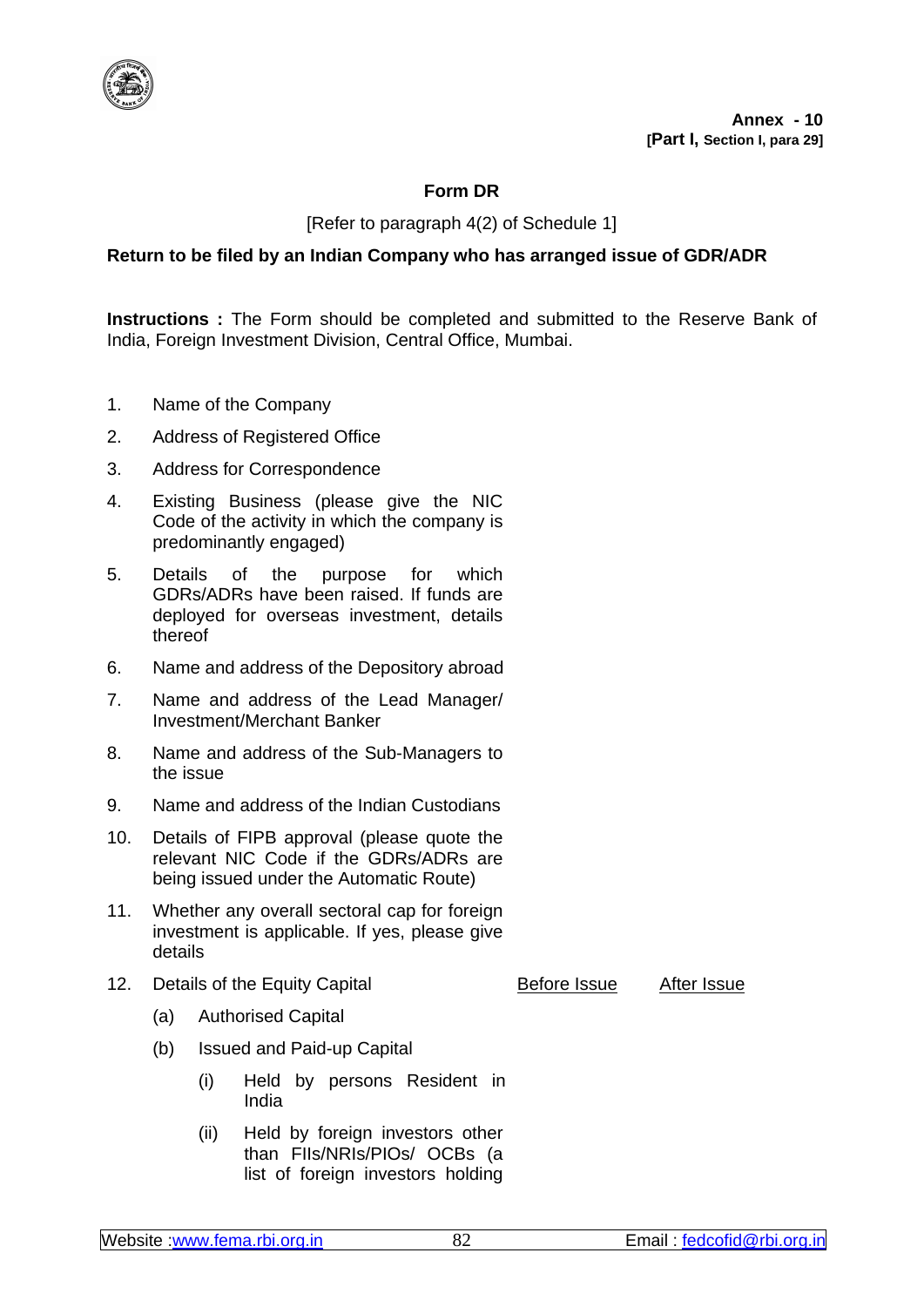

## **Form DR**

[Refer to paragraph 4(2) of Schedule 1]

## **Return to be filed by an Indian Company who has arranged issue of GDR/ADR**

**Instructions :** The Form should be completed and submitted to the Reserve Bank of India, Foreign Investment Division, Central Office, Mumbai.

- 1. Name of the Company
- 2. Address of Registered Office
- 3. Address for Correspondence
- 4. Existing Business (please give the NIC Code of the activity in which the company is predominantly engaged)
- 5. Details of the purpose for which GDRs/ADRs have been raised. If funds are deployed for overseas investment, details thereof
- 6. Name and address of the Depository abroad
- 7. Name and address of the Lead Manager/ Investment/Merchant Banker
- 8. Name and address of the Sub-Managers to the issue
- 9. Name and address of the Indian Custodians
- 10. Details of FIPB approval (please quote the relevant NIC Code if the GDRs/ADRs are being issued under the Automatic Route)
- 11. Whether any overall sectoral cap for foreign investment is applicable. If yes, please give details
- 12. Details of the Equity Capital **Before Issue** After Issue

- (a) Authorised Capital
- (b) Issued and Paid-up Capital
	- (i) Held by persons Resident in India
	- (ii) Held by foreign investors other than FIIs/NRIs/PIOs/ OCBs (a list of foreign investors holding